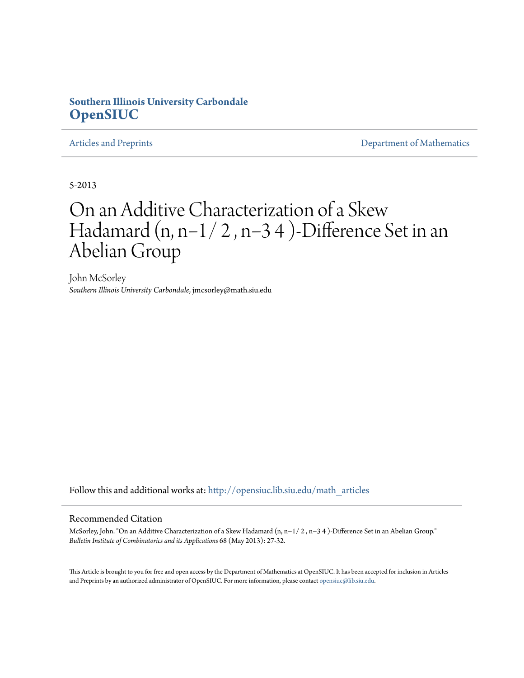### **Southern Illinois University Carbondale [OpenSIUC](http://opensiuc.lib.siu.edu?utm_source=opensiuc.lib.siu.edu%2Fmath_articles%2F116&utm_medium=PDF&utm_campaign=PDFCoverPages)**

[Articles and Preprints](http://opensiuc.lib.siu.edu/math_articles?utm_source=opensiuc.lib.siu.edu%2Fmath_articles%2F116&utm_medium=PDF&utm_campaign=PDFCoverPages) **[Department of Mathematics](http://opensiuc.lib.siu.edu/math?utm_source=opensiuc.lib.siu.edu%2Fmath_articles%2F116&utm_medium=PDF&utm_campaign=PDFCoverPages)** 

5-2013

# On an Additive Characterization of a Skew Hadamard (n, n−1/ 2 , n−3 4 )-Difference Set in an Abelian Group

John McSorley *Southern Illinois University Carbondale*, jmcsorley@math.siu.edu

Follow this and additional works at: [http://opensiuc.lib.siu.edu/math\\_articles](http://opensiuc.lib.siu.edu/math_articles?utm_source=opensiuc.lib.siu.edu%2Fmath_articles%2F116&utm_medium=PDF&utm_campaign=PDFCoverPages)

### Recommended Citation

McSorley, John. "On an Additive Characterization of a Skew Hadamard (n, n−1/ 2 , n−3 4 )-Difference Set in an Abelian Group." *Bulletin Institute of Combinatorics and its Applications* 68 (May 2013): 27-32.

This Article is brought to you for free and open access by the Department of Mathematics at OpenSIUC. It has been accepted for inclusion in Articles and Preprints by an authorized administrator of OpenSIUC. For more information, please contact [opensiuc@lib.siu.edu](mailto:opensiuc@lib.siu.edu).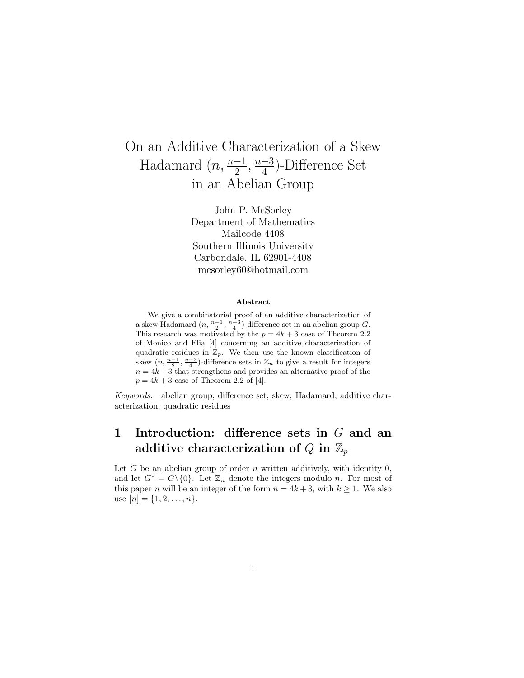### On an Additive Characterization of a Skew Hadamard  $(n, \frac{n-1}{2}, \frac{n-3}{4})$  $\frac{-3}{4}$ )-Difference Set in an Abelian Group

John P. McSorley Department of Mathematics Mailcode 4408 Southern Illinois University Carbondale. IL 62901-4408 mcsorley60@hotmail.com

#### Abstract

We give a combinatorial proof of an additive characterization of a skew Hadamard  $(n, \frac{n-1}{2}, \frac{n-3}{4})$ -difference set in an abelian group G. This research was motivated by the  $p = 4k + 3$  case of Theorem 2.2 of Monico and Elia [4] concerning an additive characterization of quadratic residues in  $\mathbb{Z}_p$ . We then use the known classification of skew  $(n, \frac{n-1}{2}, \frac{n-3}{4})$ -difference sets in  $\mathbb{Z}_n$  to give a result for integers  $n = 4k + 3$  that strengthens and provides an alternative proof of the  $p = 4k + 3$  case of Theorem 2.2 of [4].

Keywords: abelian group; difference set; skew; Hadamard; additive characterization; quadratic residues

## 1 Introduction: difference sets in G and an additive characterization of Q in  $\mathbb{Z}_p$

Let  $G$  be an abelian group of order  $n$  written additively, with identity  $0$ , and let  $G^* = G \setminus \{0\}$ . Let  $\mathbb{Z}_n$  denote the integers modulo n. For most of this paper *n* will be an integer of the form  $n = 4k + 3$ , with  $k \ge 1$ . We also use  $[n] = \{1, 2, \ldots, n\}.$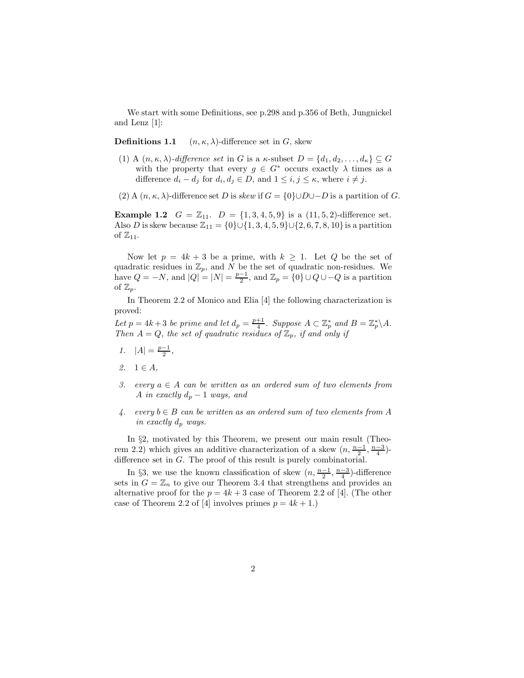We start with some Definitions, see p.298 and p.356 of Beth, Jungnickel and Lenz [1]:

**Definitions 1.1**  $(n, \kappa, \lambda)$ -difference set in G, skew

- (1) A  $(n, \kappa, \lambda)$ -difference set in G is a  $\kappa$ -subset  $D = \{d_1, d_2, \ldots, d_{\kappa}\} \subseteq G$ with the property that every  $g \in G^*$  occurs exactly  $\lambda$  times as a difference  $d_i - d_j$  for  $d_i, d_j \in D$ , and  $1 \leq i, j \leq \kappa$ , where  $i \neq j$ .
- (2) A  $(n, \kappa, \lambda)$ -difference set D is skew if  $G = \{0\} \cup D \cup -D$  is a partition of G.

**Example 1.2**  $G = \mathbb{Z}_{11}$ .  $D = \{1, 3, 4, 5, 9\}$  is a  $(11, 5, 2)$ -difference set. Also D is skew because  $\mathbb{Z}_{11} = \{0\} \cup \{1, 3, 4, 5, 9\} \cup \{2, 6, 7, 8, 10\}$  is a partition of  $\mathbb{Z}_{11}$ .

Now let  $p = 4k + 3$  be a prime, with  $k \geq 1$ . Let Q be the set of quadratic residues in  $\mathbb{Z}_p$ , and N be the set of quadratic non-residues. We have  $Q = -N$ , and  $|Q| = |N| = \frac{p-1}{2}$ , and  $\mathbb{Z}_p = \{0\} \cup Q \cup -Q$  is a partition of  $\mathbb{Z}_p$ .

In Theorem 2.2 of Monico and Elia [4] the following characterization is proved:

Let  $p = 4k + 3$  be prime and let  $d_p = \frac{p+1}{4}$ . Suppose  $A \subset \mathbb{Z}_p^*$  and  $B = \mathbb{Z}_p^* \backslash A$ . Then  $A = Q$ , the set of quadratic residues of  $\mathbb{Z}_p$ , if and only if

- 1.  $|A| = \frac{p-1}{2}$ ,
- 2.  $1 \in A$ ,
- 3. every  $a \in A$  can be written as an ordered sum of two elements from A in exactly  $d_p - 1$  ways, and
- 4. every  $b \in B$  can be written as an ordered sum of two elements from A in exactly  $d_p$  ways.

In §2, motivated by this Theorem, we present our main result (Theorem 2.2) which gives an additive characterization of a skew  $(n, \frac{n-1}{2}, \frac{n-3}{4})$ difference set in G. The proof of this result is purely combinatorial.

In §3, we use the known classification of skew  $(n, \frac{n-1}{2}, \frac{n-3}{4})$ -difference sets in  $G = \mathbb{Z}_n$  to give our Theorem 3.4 that strengthens and provides an alternative proof for the  $p = 4k + 3$  case of Theorem 2.2 of [4]. (The other case of Theorem 2.2 of [4] involves primes  $p = 4k + 1$ .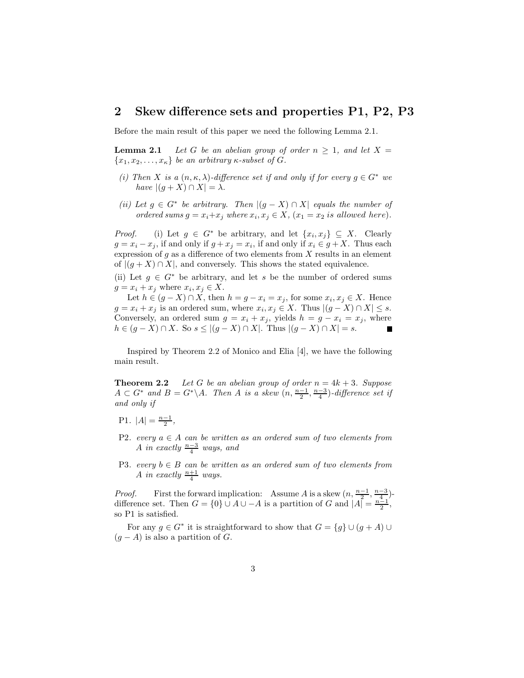### 2 Skew difference sets and properties P1, P2, P3

Before the main result of this paper we need the following Lemma 2.1.

**Lemma 2.1** Let G be an abelian group of order  $n \geq 1$ , and let X =  ${x_1, x_2, \ldots, x_{\kappa}}$  be an arbitrary  $\kappa$ -subset of G.

- (i) Then X is a  $(n, \kappa, \lambda)$ -difference set if and only if for every  $g \in G^*$  we have  $|(g + X) \cap X| = \lambda$ .
- (ii) Let  $g \in G^*$  be arbitrary. Then  $|(g X) \cap X|$  equals the number of ordered sums  $g = x_i + x_j$  where  $x_i, x_j \in X$ ,  $(x_1 = x_2 \text{ is allowed here}).$

*Proof.* (i) Let  $g \in G^*$  be arbitrary, and let  $\{x_i, x_j\} \subseteq X$ . Clearly  $g = x_i - x_j$ , if and only if  $g + x_j = x_i$ , if and only if  $x_i \in g + X$ . Thus each expression of  $g$  as a difference of two elements from  $X$  results in an element of  $|(g + X) \cap X|$ , and conversely. This shows the stated equivalence.

(ii) Let  $g \in G^*$  be arbitrary, and let s be the number of ordered sums  $g = x_i + x_j$  where  $x_i, x_j \in X$ .

Let  $h \in (g - X) \cap X$ , then  $h = g - x_i = x_j$ , for some  $x_i, x_j \in X$ . Hence  $g = x_i + x_j$  is an ordered sum, where  $x_i, x_j \in X$ . Thus  $|(g - X) \cap X| \leq s$ . Conversely, an ordered sum  $g = x_i + x_j$ , yields  $h = g - x_i = x_j$ , where  $h \in (g - X) \cap X$ . So  $s \le |(g - X) \cap X|$ . Thus  $|(g - X) \cap X| = s$ .

Inspired by Theorem 2.2 of Monico and Elia [4], we have the following main result.

**Theorem 2.2** Let G be an abelian group of order  $n = 4k + 3$ . Suppose  $A \subset G^*$  and  $B = G^* \backslash A$ . Then A is a skew  $(n, \frac{n-1}{2}, \frac{n-3}{4})$ -difference set if and only if

- P1.  $|A| = \frac{n-1}{2}$ ,
- P2. every  $a \in A$  can be written as an ordered sum of two elements from A in exactly  $\frac{n-3}{4}$  ways, and
- P3. every  $b \in B$  can be written as an ordered sum of two elements from A in exactly  $\frac{n+1}{4}$  ways.

*Proof.* First the forward implication: Assume A is a skew  $(n, \frac{n-1}{2}, \frac{n-3}{4})$ difference set. Then  $G = \{0\} \cup A \cup -A$  is a partition of G and  $|A| = \frac{n-1}{2}$ , so P1 is satisfied.

For any  $g \in G^*$  it is straightforward to show that  $G = \{g\} \cup (g + A) \cup$  $(g - A)$  is also a partition of G.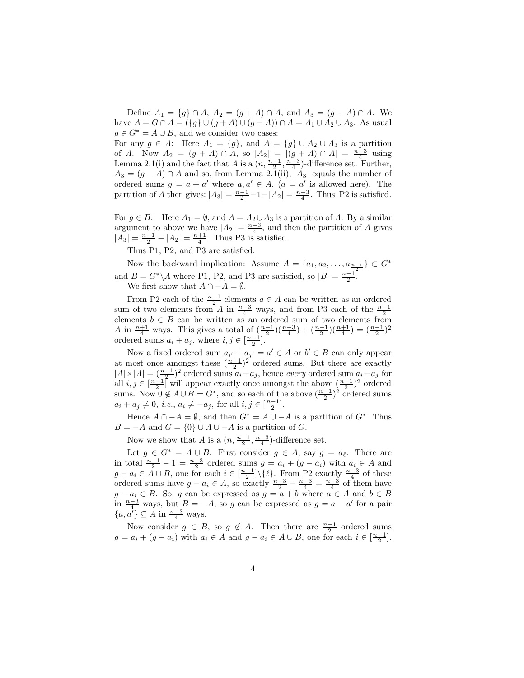Define  $A_1 = \{g\} \cap A$ ,  $A_2 = (g + A) \cap A$ , and  $A_3 = (g - A) \cap A$ . We have  $A = G \cap A = (\{g\} \cup (g + A) \cup (g - A)) \cap A = A_1 \cup A_2 \cup A_3$ . As usual  $g \in G^* = A \cup B$ , and we consider two cases:

For any  $g \in A$ : Here  $A_1 = \{g\}$ , and  $A = \{g\} \cup A_2 \cup A_3$  is a partition of A. Now  $A_2 = (g + A) \cap A$ , so  $|A_2| = |(g + A) \cap A| = \frac{n-3}{4}$  using Lemma 2.1(i) and the fact that A is a  $(n, \frac{n-1}{2}, \frac{n-3}{4})$ -difference set. Further,  $A_3 = (g - A) \cap A$  and so, from Lemma 2.1(ii),  $|A_3|$  equals the number of ordered sums  $g = a + a'$  where  $a, a' \in A$ ,  $(a = a'$  is allowed here). The partition of A then gives:  $|A_3| = \frac{n-1}{2} - 1 - |A_2| = \frac{n-3}{4}$ . Thus P2 is satisfied.

For  $g \in B$ : Here  $A_1 = \emptyset$ , and  $A = A_2 \cup A_3$  is a partition of A. By a similar argument to above we have  $|A_2| = \frac{n-3}{4}$ , and then the partition of A gives  $|A_3| = \frac{n-1}{2} - |A_2| = \frac{n+1}{4}$ . Thus P3 is satisfied.

Thus P1, P2, and P3 are satisfied.

Now the backward implication: Assume  $A = \{a_1, a_2, \ldots, a_{\frac{n-1}{2}}\} \subset G^*$ and  $B = G^*\backslash A$  where P1, P2, and P3 are satisfied, so  $|B| = \frac{n-1}{2}$ .

We first show that  $A \cap -A = \emptyset$ .

From P2 each of the  $\frac{n-1}{2}$  elements  $a \in A$  can be written as an ordered sum of two elements from A in  $\frac{n-3}{4}$  ways, and from P3 each of the  $\frac{n-1}{2}$ elements  $b \in B$  can be written as an ordered sum of two elements from A in  $\frac{n+1}{4}$  ways. This gives a total of  $\left(\frac{n-1}{2}\right)\left(\frac{n-3}{4}\right) + \left(\frac{n-1}{2}\right)\left(\frac{n+1}{4}\right) = \left(\frac{n-1}{2}\right)^2$ ordered sums  $a_i + a_j$ , where  $i, j \in \left[\frac{n-1}{2}\right]$ .

Now a fixed ordered sum  $a_{i'} + a_{j'} = a' \in A$  or  $b' \in B$  can only appear at most once amongst these  $(\frac{n-1}{2})^2$  ordered sums. But there are exactly  $|A| \times |A| = (\frac{n-1}{2})^2$  ordered sums  $a_i + a_j$ , hence every ordered sum  $a_i + a_j$  for all  $i, j \in \left[\frac{n-1}{2}\right]$  will appear exactly once amongst the above  $\left(\frac{n-1}{2}\right)^2$  ordered sums. Now  $0 \notin A \cup B = G^*$ , and so each of the above  $(\frac{n-1}{2})^2$  ordered sums  $a_i + a_j \neq 0, \ i.e., \ a_i \neq -a_j, \text{ for all } i, j \in \left[\frac{n-1}{2}\right].$ 

Hence  $A \cap -A = \emptyset$ , and then  $G^* = A \cup -A$  is a partition of  $G^*$ . Thus  $B = -A$  and  $G = \{0\} \cup A \cup -A$  is a partition of G.

Now we show that A is a  $(n, \frac{n-1}{2}, \frac{n-3}{4})$ -difference set.

Let  $g \in G^* = A \cup B$ . First consider  $g \in A$ , say  $g = a_{\ell}$ . There are in total  $\frac{n-1}{2} - 1 = \frac{n-3}{2}$  ordered sums  $g = a_i + (g - a_i)$  with  $a_i \in A$  and  $g - a_i \in \mathring{A} \cup \mathring{B}$ , one for each  $i \in \left[\frac{n-1}{2}\right] \setminus \{\ell\}$ . From P<sub>2</sub> exactly  $\frac{n-3}{4}$  of these ordered sums have  $g - a_i \in A$ , so exactly  $\frac{n-3}{2} - \frac{n-3}{4} = \frac{n-3}{4}$  of them have  $g - a_i \in B$ . So, g can be expressed as  $g = a + b$  where  $a \in A$  and  $b \in B$ in  $\frac{n-3}{4}$  ways, but  $B = -A$ , so g can be expressed as  $g = a - a'$  for a pair  ${a, a^7}\subseteq A$  in  $\frac{n-3}{4}$  ways.

Now consider  $g \in B$ , so  $g \notin A$ . Then there are  $\frac{n-1}{2}$  ordered sums  $g = a_i + (g - a_i)$  with  $a_i \in A$  and  $g - a_i \in A \cup B$ , one for each  $i \in \left[\frac{n-1}{2}\right]$ .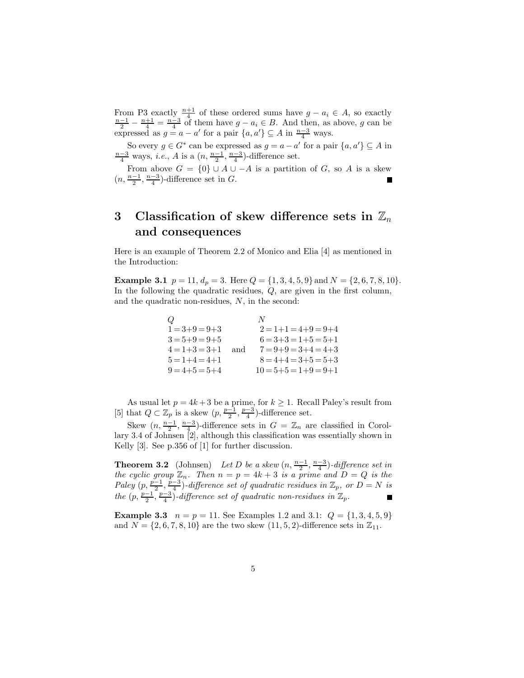From P3 exactly  $\frac{n+1}{4}$  of these ordered sums have  $g - a_i \in A$ , so exactly  $\frac{n-1}{2} - \frac{n+1}{4} = \frac{n-3}{4}$  of them have  $g - a_i \in B$ . And then, as above, g can be expressed as  $g = a - a'$  for a pair  $\{a, a'\} \subseteq A$  in  $\frac{n-3}{4}$  ways.

So every  $g \in G^*$  can be expressed as  $g = a - a'$  for a pair  $\{a, a'\} \subseteq A$  in  $\frac{n-3}{4}$  ways, *i.e.*, *A* is a  $(n, \frac{n-1}{2}, \frac{n-3}{4})$ -difference set.

From above  $G = \{0\} \cup A \cup -A$  is a partition of G, so A is a skew  $(n, \frac{n-1}{2}, \frac{n-3}{4})$ -difference set in G. г

### 3 Classification of skew difference sets in  $\mathbb{Z}_n$ and consequences

Here is an example of Theorem 2.2 of Monico and Elia [4] as mentioned in the Introduction:

**Example 3.1**  $p = 11$ ,  $d_p = 3$ . Here  $Q = \{1, 3, 4, 5, 9\}$  and  $N = \{2, 6, 7, 8, 10\}$ . In the following the quadratic residues,  $Q$ , are given in the first column, and the quadratic non-residues,  $N$ , in the second:

| $\omega$            |     |                              |
|---------------------|-----|------------------------------|
| $1 = 3 + 9 = 9 + 3$ |     | $2 = 1 + 1 = 4 + 9 = 9 + 4$  |
| $3 = 5 + 9 = 9 + 5$ |     | $6 = 3 + 3 = 1 + 5 = 5 + 1$  |
| $4 = 1 + 3 = 3 + 1$ | and | $7 = 9 + 9 = 3 + 4 = 4 + 3$  |
| $5 = 1 + 4 = 4 + 1$ |     | $8 = 4+4 = 3+5 = 5+3$        |
| $9 = 4+5 = 5+4$     |     | $10 = 5 + 5 = 1 + 9 = 9 + 1$ |

As usual let  $p = 4k + 3$  be a prime, for  $k \ge 1$ . Recall Paley's result from [5] that  $Q \subset \mathbb{Z}_p$  is a skew  $(p, \frac{p-1}{2}, \frac{p-3}{4})$ -difference set.

Skew  $(n, \frac{n-1}{2}, \frac{n-3}{4})$ -difference sets in  $G = \mathbb{Z}_n$  are classified in Corollary 3.4 of Johnsen [2], although this classification was essentially shown in Kelly [3]. See p.356 of [1] for further discussion.

**Theorem 3.2** (Johnsen) Let D be a skew  $(n, \frac{n-1}{2}, \frac{n-3}{4})$ -difference set in the cyclic group  $\mathbb{Z}_n$ . Then  $n = p = 4k + 3$  is a prime and  $D = Q$  is the Paley  $(p, \frac{p-1}{2}, \frac{p-3}{4})$ -difference set of quadratic residues in  $\mathbb{Z}_p$ , or  $D = N$  is the  $(p, \frac{p-1}{2}, \frac{p-3}{4})$ -difference set of quadratic non-residues in  $\mathbb{Z}_p$ .

**Example 3.3**  $n = p = 11$ . See Examples 1.2 and 3.1:  $Q = \{1, 3, 4, 5, 9\}$ and  $N = \{2, 6, 7, 8, 10\}$  are the two skew  $(11, 5, 2)$ -difference sets in  $\mathbb{Z}_{11}$ .